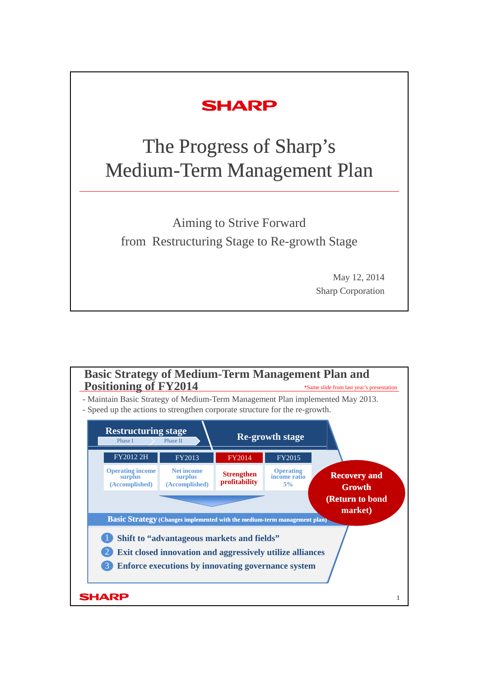## **SHARP**

# The Progress of Sharp's Medium-Term Management Plan

Aiming to Strive Forward from Restructuring Stage to Re-growth Stage

> May 12, 2014 Sharp Corporation

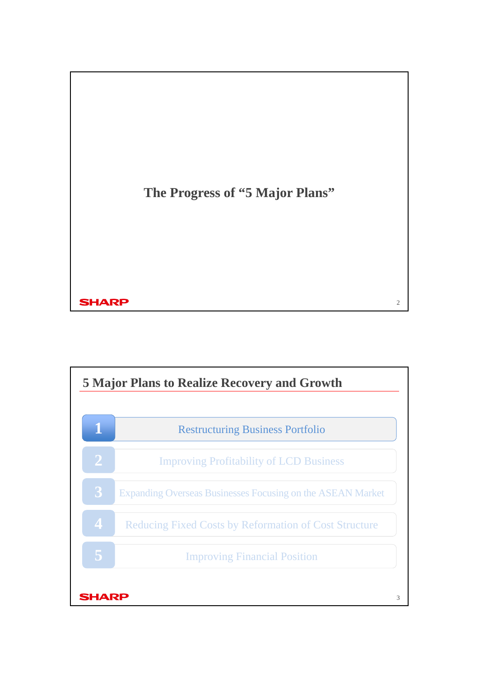

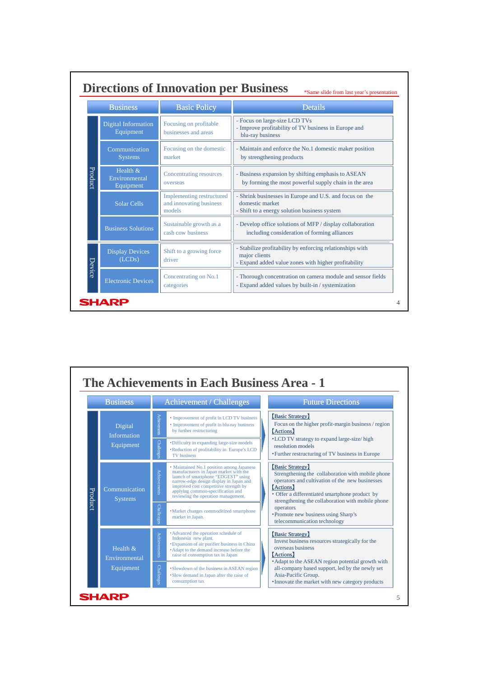|         | <b>Business</b>                          | <b>Basic Policy</b>                                                   | <b>Details</b>                                                                                                                     |  |
|---------|------------------------------------------|-----------------------------------------------------------------------|------------------------------------------------------------------------------------------------------------------------------------|--|
|         | Digital Information<br>Equipment         | Focusing on profitable<br>businesses and areas                        | - Focus on large-size LCD TVs<br>- Improve profitability of TV business in Europe and<br>blu-ray business                          |  |
| Product | Communication<br><b>Systems</b>          | Focusing on the domestic<br>market                                    | - Maintain and enforce the No.1 domestic maker position<br>by strengthening products                                               |  |
|         | Health $&$<br>Environmental<br>Equipment | <b>Concentrating resources</b><br>overseas                            | - Business expansion by shifting emphasis to ASEAN<br>by forming the most powerful supply chain in the area                        |  |
|         | Solar Cells                              | <b>Implementing restructured</b><br>and innovating business<br>models | - Shrink businesses in Europe and U.S. and focus on the<br>domestic market<br>- Shift to a energy solution business system         |  |
|         | <b>Business Solutions</b>                | Sustainable growth as a<br>cash cow business                          | - Develop office solutions of MFP / display collaboration<br>including consideration of forming alliances                          |  |
| Device  | <b>Display Devices</b><br>(LCDs)         | Shift to a growing force<br>driver                                    | - Stabilize profitability by enforcing relationships with<br>major clients<br>- Expand added value zones with higher profitability |  |
|         | <b>Electronic Devices</b>                | Concentrating on No.1<br>categories                                   | - Thorough concentration on camera module and sensor fields<br>- Expand added values by built-in / systemization                   |  |

|         | <b>Business</b>                            |                     | <b>Achievement / Challenges</b>                                                                                                                                                                                                                                                            |                                                                                             | <b>Future Directions</b>                                                                                                                                                                                                                            |
|---------|--------------------------------------------|---------------------|--------------------------------------------------------------------------------------------------------------------------------------------------------------------------------------------------------------------------------------------------------------------------------------------|---------------------------------------------------------------------------------------------|-----------------------------------------------------------------------------------------------------------------------------------------------------------------------------------------------------------------------------------------------------|
|         | Digital<br><b>Information</b><br>Equipment | <b>Achievements</b> | • Improvement of profit in LCD TV business<br>• Improvement of profit in blu-ray business<br>by further restructuring                                                                                                                                                                      | [Basic Strategy]<br>Focus on the higher profit-margin business / region<br><b>[Actions]</b> |                                                                                                                                                                                                                                                     |
|         |                                            | Challenge:          | • Difficulty in expanding large-size models<br>• Reduction of profitability in Europe's LCD<br><b>TV</b> business                                                                                                                                                                          |                                                                                             | •LCD TV strategy to expand large-size/high<br>resolution models<br>• Further restructuring of TV business in Europe                                                                                                                                 |
| Product | Communication<br><b>Systems</b>            | <b>Achievements</b> | • Maintained No.1 position among Japanese<br>manufacturers in Japan market with the<br>launch of smartphone "EDGEST" using<br>narrow-edge design display in Japan and<br>improved cost competitive strength by<br>applying common-specification and<br>reviewing the operation management. |                                                                                             | [Basic Strategy]<br>Strengthening the collaboration with mobile phone<br>operators and cultivation of the new businesses<br><b>[Actions]</b><br>• Offer a differentiated smartphone product by<br>strengthening the collaboration with mobile phone |
|         |                                            | <b>Challenge</b>    | • Market changes commoditized smartphone<br>market in Japan.                                                                                                                                                                                                                               |                                                                                             | operators<br>• Promote new business using Sharp's<br>telecommunication technology                                                                                                                                                                   |
|         | Health $\&$<br>Environmental<br>Equipment  | <b>Achievements</b> | • Advanced the operation schedule of<br>Indonesia new plant.<br><b>Expansion of air purifier business in China</b><br>• Adapt to the demand increase before the<br>raise of consumption tax in Japan                                                                                       |                                                                                             | [Basic Strategy]<br>Invest business resources strategically for the<br>overseas business<br><b>Actions</b>                                                                                                                                          |
|         |                                            | <b>Challenge:</b>   | • Slowdown of the business in ASEAN region<br>• Slow demand in Japan after the raise of<br>consumption tax                                                                                                                                                                                 |                                                                                             | • Adapt to the ASEAN region potential growth with<br>all-company based support, led by the newly set<br>Asia-Pacific Group.<br>• Innovate the market with new category products                                                                     |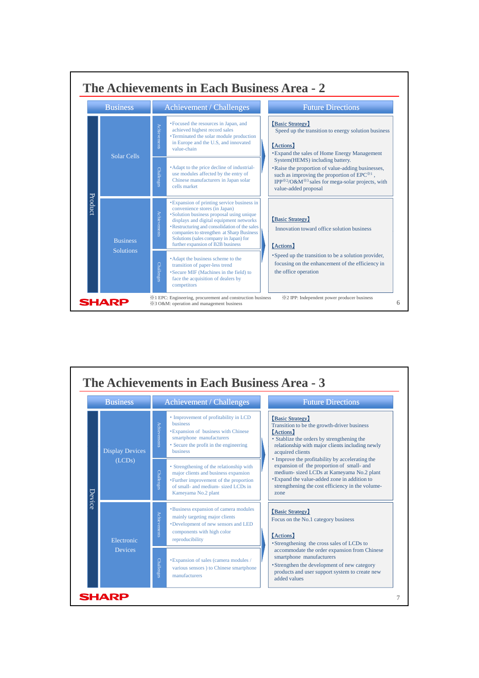

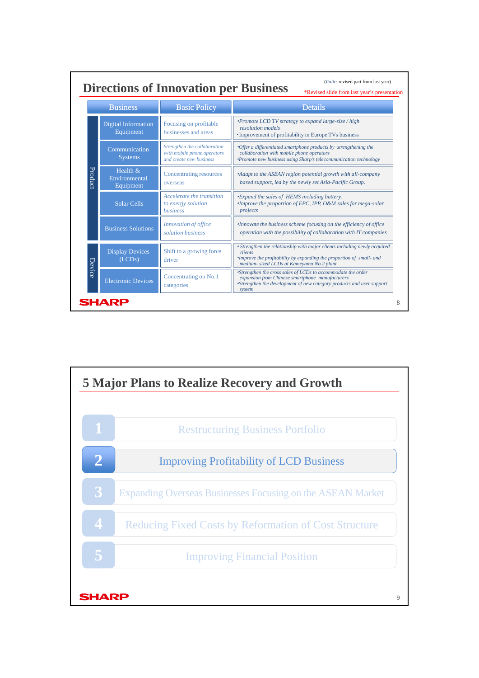| (Italic: revised part from last year)<br><b>Directions of Innovation per Business</b><br>*Revised slide from last year's presentation |                                           |                                                                                        |                                                                                                                                                                                                                  |  |
|---------------------------------------------------------------------------------------------------------------------------------------|-------------------------------------------|----------------------------------------------------------------------------------------|------------------------------------------------------------------------------------------------------------------------------------------------------------------------------------------------------------------|--|
|                                                                                                                                       | <b>Business</b>                           | <b>Basic Policy</b>                                                                    | <b>Details</b>                                                                                                                                                                                                   |  |
|                                                                                                                                       | <b>Digital Information</b><br>Equipment   | Focusing on profitable<br>businesses and areas                                         | <i>•Promote LCD TV strategy to expand large-size / high</i><br>resolution models<br>• Improvement of profitability in Europe TVs business                                                                        |  |
|                                                                                                                                       | Communication<br><b>Systems</b>           | Strengthen the collaboration<br>with mobile phone operators<br>and create new business | •Offer a differentiated smartphone products by strengthening the<br>collaboration with mobile phone operators<br>*Promote new business using Sharp's telecommunication technology                                |  |
| Product                                                                                                                               | Health $\&$<br>Environmental<br>Equipment | Concentrating resources<br>overseas                                                    | *Adapt to the ASEAN region potential growth with all-company<br>based support, led by the newly set Asia-Pacific Group.                                                                                          |  |
|                                                                                                                                       | <b>Solar Cells</b>                        | Accelerate the transition<br>to energy solution<br><i>business</i>                     | <i>*Expand the sales of HEMS including battery.</i><br><i>Improve the proportion of EPC, IPP, O&amp;M sales for mega-solar</i><br>projects                                                                       |  |
|                                                                                                                                       | <b>Business Solutions</b>                 | Innovation of office<br>solution business                                              | <i>Innovate the business scheme focusing on the efficiency of office</i><br>operation with the possibility of collaboration with IT companies                                                                    |  |
|                                                                                                                                       | <b>Display Devices</b><br>(LCDs)          | Shift to a growing force<br>driver                                                     | • Strengthen the relationship with major clients including newly acquired<br>clients<br><i>•Improve the profitability by expanding the proportion of small- and</i><br>medium- sized LCDs at Kameyama No.2 plant |  |
| Device                                                                                                                                | <b>Electronic Devices</b>                 | Concentrating on No.1<br>categories                                                    | *Strengthen the cross sales of LCDs to accommodate the order<br>expansion from Chinese smartphone manufacturers<br>*Strengthen the development of new category products and user support<br>system               |  |

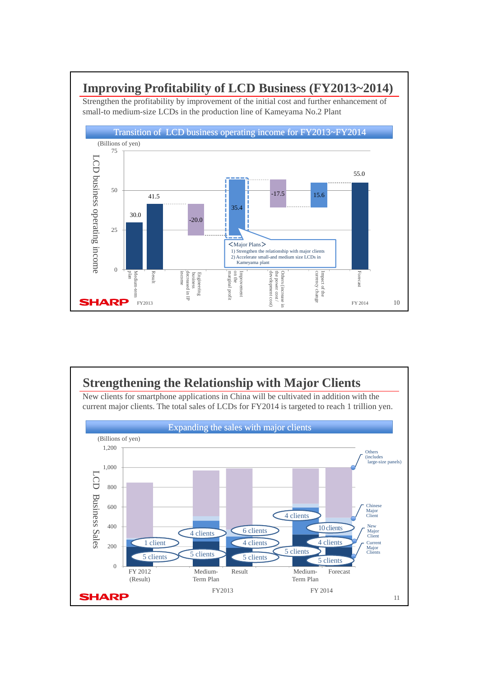#### **Improving Profitability of LCD Business (FY2013~2014)**

Strengthen the profitability by improvement of the initial cost and further enhancement of small-to medium-size LCDs in the production line of Kameyama No.2 Plant



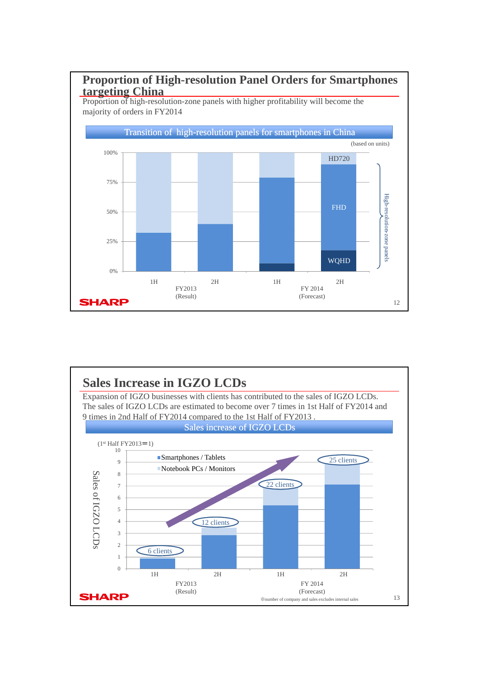

Proportion of high-resolution-zone panels with higher profitability will become the majority of orders in FY2014



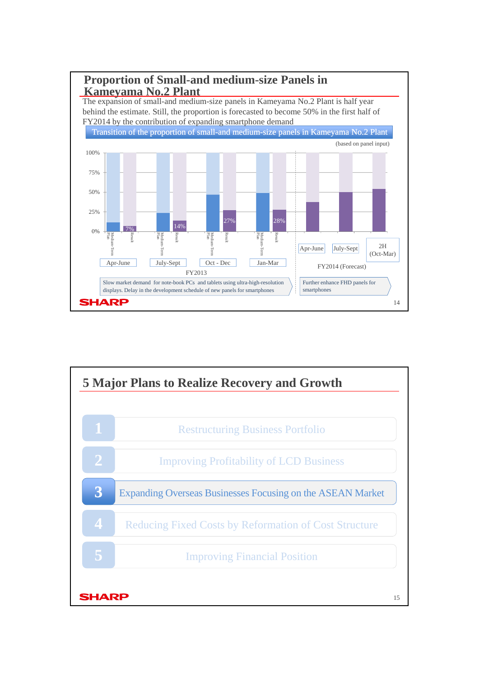

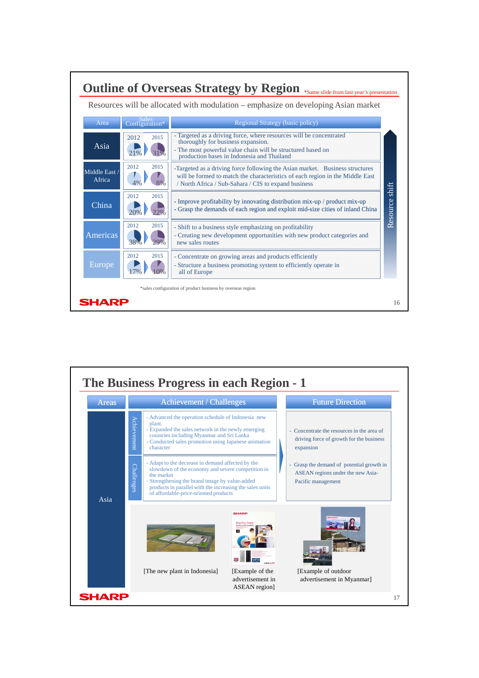

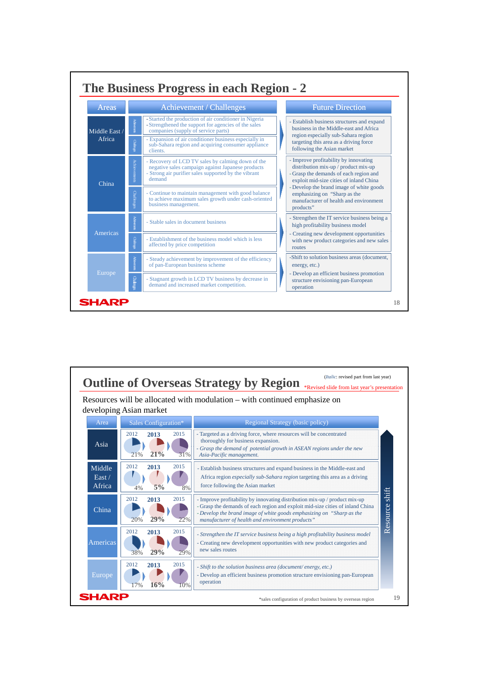

|                              | developing Asian market                   | Resources will be allocated with modulation – with continued emphasize on                                                                                                                                                                                                                 |  |  |
|------------------------------|-------------------------------------------|-------------------------------------------------------------------------------------------------------------------------------------------------------------------------------------------------------------------------------------------------------------------------------------------|--|--|
| Area<br>Sales Configuration* |                                           | Regional Strategy (basic policy)                                                                                                                                                                                                                                                          |  |  |
| Asia                         | 2012<br>2015<br>2013<br>21%<br>21%<br>31% | - Targeted as a driving force, where resources will be concentrated<br>thoroughly for business expansion.<br>- Grasp the demand of potential growth in ASEAN regions under the new<br>Asia-Pacific management.                                                                            |  |  |
| Middle<br>East /<br>Africa   | 2012<br>2015<br>2013<br>5%<br>8%<br>4%    | - Establish business structures and expand business in the Middle-east and<br>Africa region <i>especially sub-Sahara region</i> targeting this area as a driving<br>force following the Asian market                                                                                      |  |  |
| China                        | 2013<br>2015<br>2012<br>29%<br>22%<br>20% | - Improve profitability by innovating distribution mix-up / product mix-up<br>- Grasp the demands of each region and exploit mid-size cities of inland China<br>- Develop the brand image of white goods emphasizing on "Sharp as the<br>manufacturer of health and environment products" |  |  |
| Americas                     | 2012<br>2013<br>2015<br>29%<br>29%<br>38% | - Strengthen the IT service business being a high profitability business model<br>- Creating new development opportunities with new product categories and<br>new sales routes                                                                                                            |  |  |
| <b>Europe</b>                | 2012<br>2015<br>2013<br>16%<br>10%<br>17% | - Shift to the solution business area (document/energy, etc.)<br>- Develop an efficient business promotion structure envisioning pan-European<br>operation                                                                                                                                |  |  |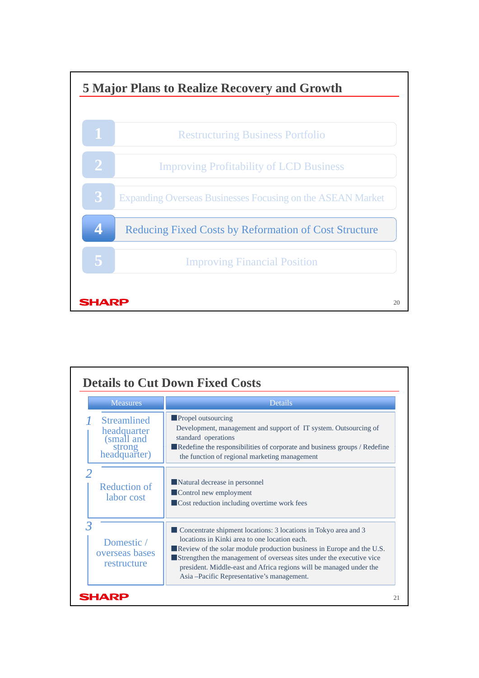

| <b>Measures</b>                                                           | Details                                                                                                                                                                                                                                                                                                                                                                                 |  |
|---------------------------------------------------------------------------|-----------------------------------------------------------------------------------------------------------------------------------------------------------------------------------------------------------------------------------------------------------------------------------------------------------------------------------------------------------------------------------------|--|
| <b>Streamlined</b><br>headquarter<br>(small and<br>strong<br>headquarter) | <b>Propel outsourcing</b><br>Development, management and support of IT system. Outsourcing of<br>standard operations<br>Redefine the responsibilities of corporate and business groups / Redefine<br>the function of regional marketing management                                                                                                                                      |  |
| <b>Reduction of</b><br>labor cost                                         | Natural decrease in personnel<br>Control new employment<br>■ Cost reduction including overtime work fees                                                                                                                                                                                                                                                                                |  |
| Domestic /<br>overseas bases<br>restructure                               | Concentrate shipment locations: 3 locations in Tokyo area and 3<br>locations in Kinki area to one location each.<br>Review of the solar module production business in Europe and the U.S.<br>Strengthen the management of overseas sites under the executive vice<br>president. Middle-east and Africa regions will be managed under the<br>Asia – Pacific Representative's management. |  |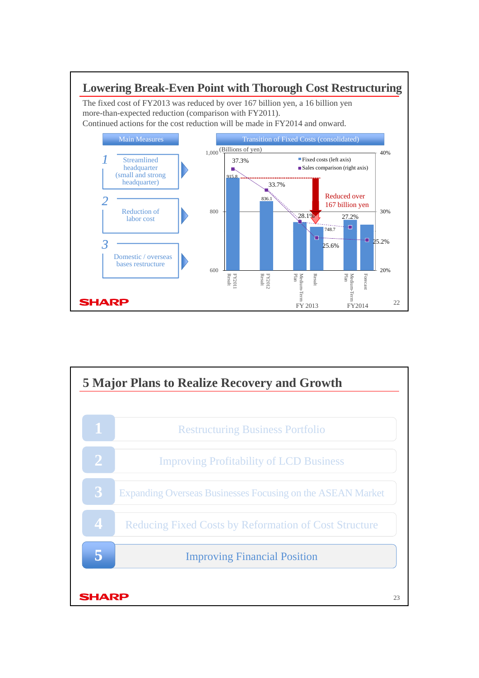

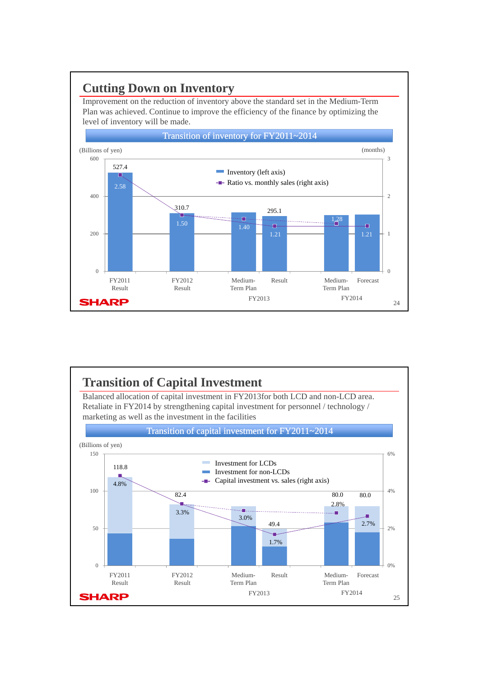#### **Cutting Down on Inventory**

Improvement on the reduction of inventory above the standard set in the Medium-Term Plan was achieved. Continue to improve the efficiency of the finance by optimizing the level of inventory will be made.



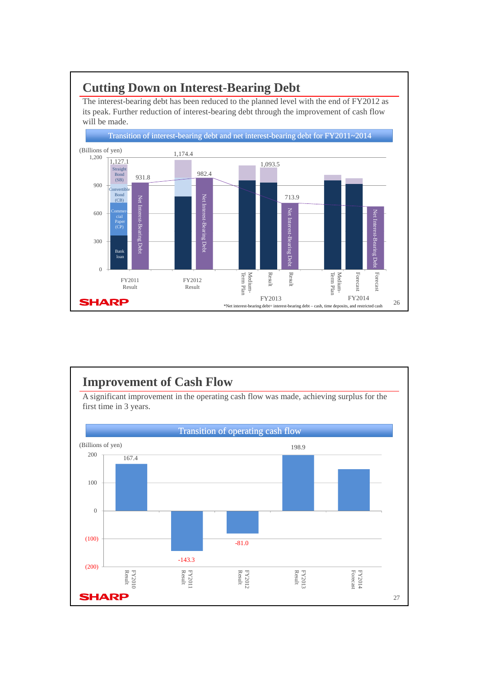### **Cutting Down on Interest-Bearing Debt**

The interest-bearing debt has been reduced to the planned level with the end of FY2012 as its peak. Further reduction of interest-bearing debt through the improvement of cash flow will be made.



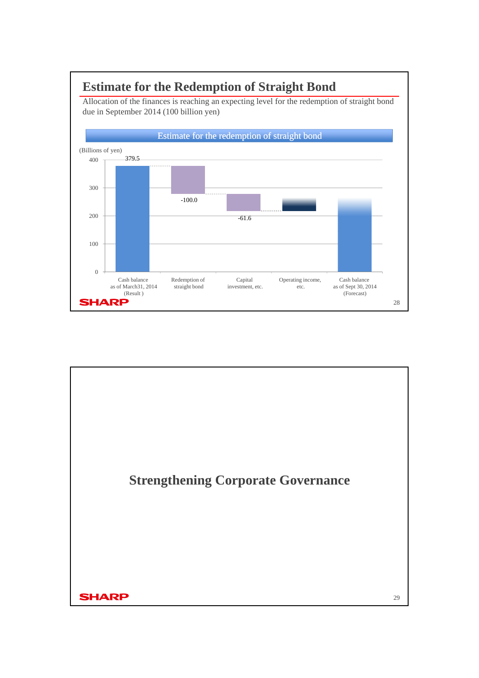

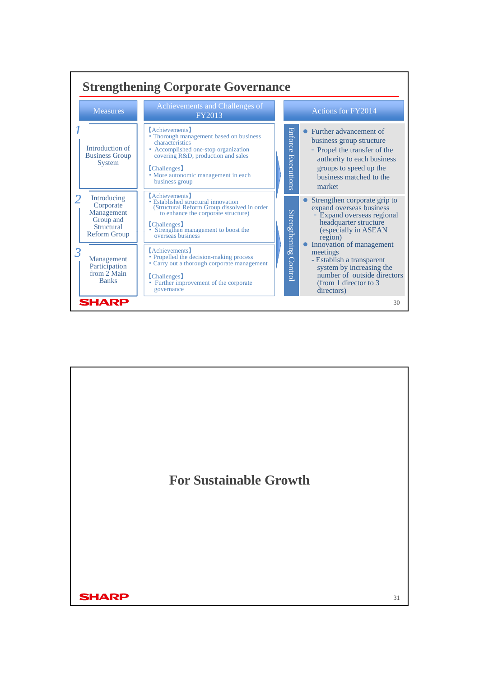

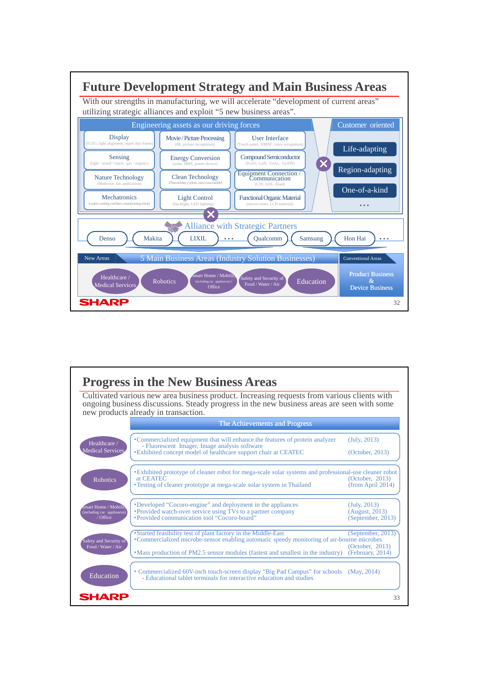

|                                                                        | <b>Progress in the New Business Areas</b><br>Cultivated various new area business product. Increasing requests from various clients with<br>ongoing business discussions. Steady progress in the new business areas are seen with some           |                                                          |
|------------------------------------------------------------------------|--------------------------------------------------------------------------------------------------------------------------------------------------------------------------------------------------------------------------------------------------|----------------------------------------------------------|
|                                                                        | new products already in transaction.<br>The Achievements and Progress                                                                                                                                                                            |                                                          |
| Healthcare /<br><b>Medical Services</b>                                | • Commercialized equipment that will enhance the features of protein analyzer<br>- Fluorescent Imager, Image analysis software<br><b>Exhibited concept model of healthcare support chair at CEATEC</b>                                           | (July, 2013)<br>(October, 2013)                          |
| <b>Robotics</b>                                                        | <b>Exhibited prototype of cleaner robot for mega-scale solar systems and professional-use cleaner robot</b><br>at CEATEC<br>• Testing of cleaner prototype at mega-scale solar system in Thailand                                                | (October, 2013)<br>(from April 2014)                     |
| <b>Smart Home / Mobility</b><br>(including car appliances)<br>/ Office | •Developed "Cocoro-engine" and deployment in the appliances<br>• Provided watch-over service using TVs to a partner company<br>"Provided communication tool "Cocoro-board"                                                                       | (July, 2013)<br>(August, 2013)<br>(September, 2013)      |
| Safety and Security of<br>Food / Water / Air                           | • Started feasibility test of plant factory in the Middle-East<br>•Commercialized microbe-sensor enabling automatic speedy monitoring of air-bourne microbes<br>• Mass production of PM2.5 sensor modules (fastest and smallest in the industry) | (September, 2013)<br>(October, 2013)<br>(February, 2014) |
| Education                                                              | • Commercialized 60V-inch touch-screen display "Big Pad Campus" for schools (May, 2014)<br>- Educational tablet terminals for interactive education and studies                                                                                  |                                                          |
| SHARP                                                                  |                                                                                                                                                                                                                                                  | 33                                                       |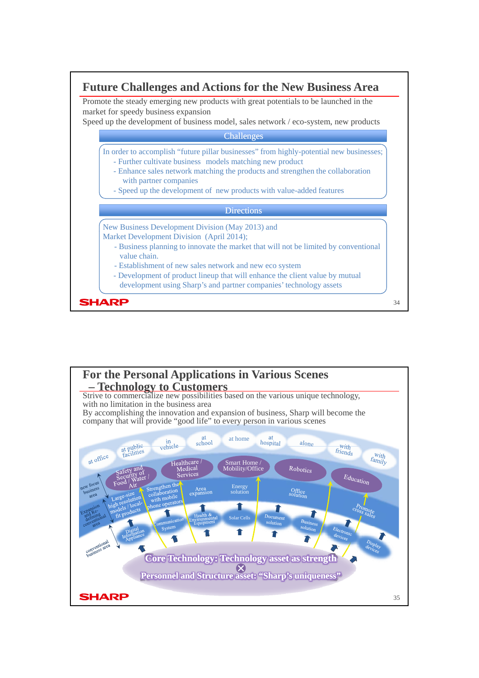